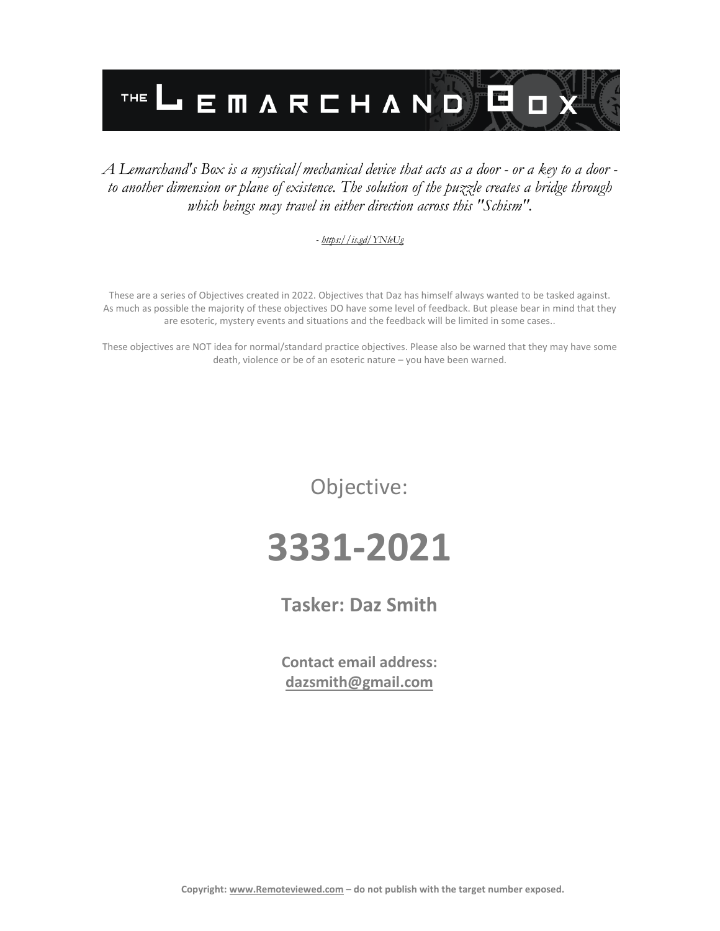

### *A Lemarchand's Box is a mystical/mechanical device that acts as a door - or a key to a door to another dimension or plane of existence. The solution of the puzzle creates a bridge through which beings may travel in either direction across this "Schism".*

#### *- <https://is.gd/YNleUg>*

These are a series of Objectives created in 2022. Objectives that Daz has himself always wanted to be tasked against. As much as possible the majority of these objectives DO have some level of feedback. But please bear in mind that they are esoteric, mystery events and situations and the feedback will be limited in some cases..

These objectives are NOT idea for normal/standard practice objectives. Please also be warned that they may have some death, violence or be of an esoteric nature – you have been warned.

Objective:

# **3331-2021**

**Tasker: Daz Smith**

**Contact email address: [dazsmith@gmail.com](mailto:dazsmith@gmail.com)**